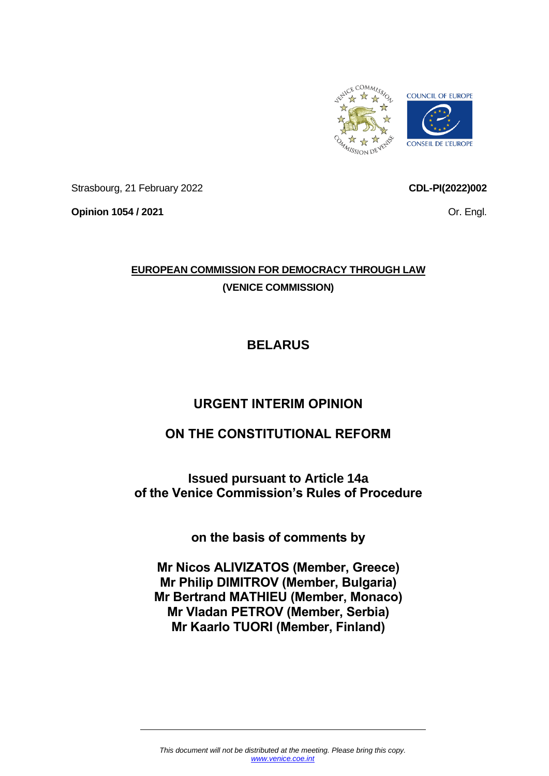

Strasbourg, 21 February 2022

**Opinion 1054 / 2021**

**CDL-PI(2022)002**

Or. Engl.

## **EUROPEAN COMMISSION FOR DEMOCRACY THROUGH LAW (VENICE COMMISSION)**

# **BELARUS**

## **URGENT INTERIM OPINION**

## **ON THE CONSTITUTIONAL REFORM**

**Issued pursuant to Article 14a of the Venice Commission's Rules of Procedure**

**on the basis of comments by**

**Mr Nicos ALIVIZATOS (Member, Greece) Mr Philip DIMITROV (Member, Bulgaria) Mr Bertrand MATHIEU (Member, Monaco) Mr Vladan PETROV (Member, Serbia) Mr Kaarlo TUORI (Member, Finland)**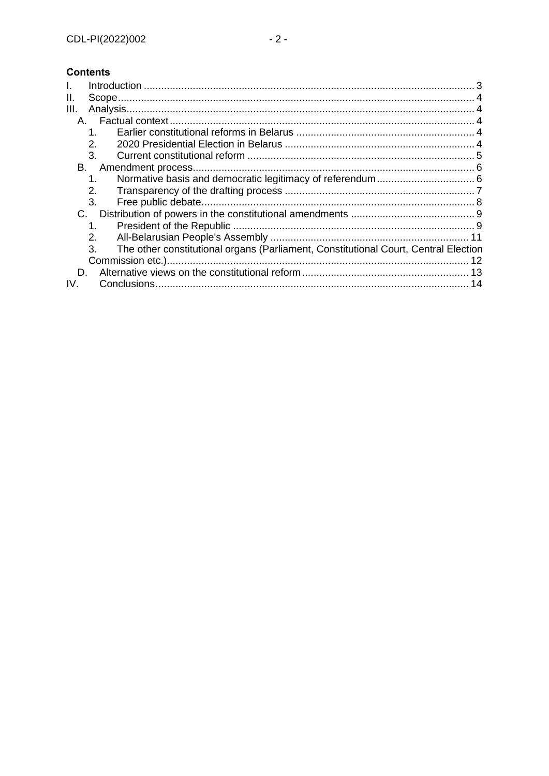### **Contents**

| Н.   |                                                                                           |  |
|------|-------------------------------------------------------------------------------------------|--|
| III. |                                                                                           |  |
|      |                                                                                           |  |
|      | 1.                                                                                        |  |
|      | 2.                                                                                        |  |
|      | 3.                                                                                        |  |
| В.   |                                                                                           |  |
|      | 1.                                                                                        |  |
|      | 2.                                                                                        |  |
|      | 3.                                                                                        |  |
| C.   |                                                                                           |  |
|      | $1_{-}$                                                                                   |  |
|      | 2.                                                                                        |  |
|      | 3.<br>The other constitutional organs (Parliament, Constitutional Court, Central Election |  |
|      |                                                                                           |  |
| D.   |                                                                                           |  |
| IV.  |                                                                                           |  |
|      |                                                                                           |  |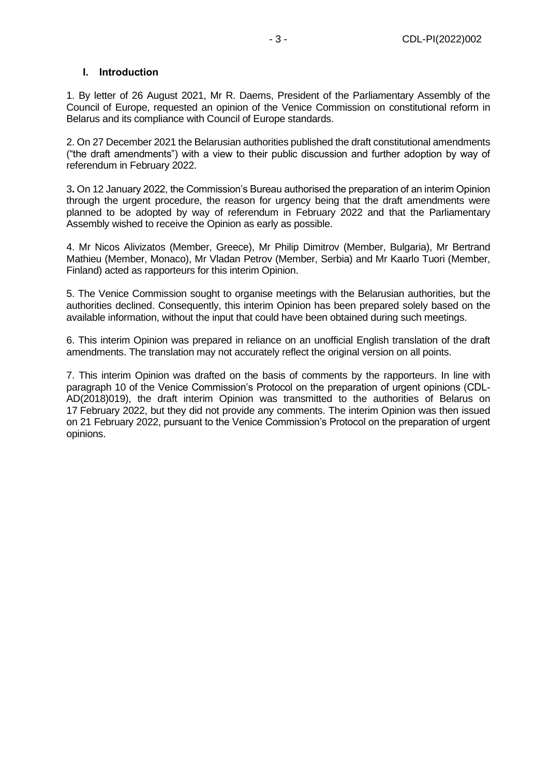#### <span id="page-2-0"></span>**I. Introduction**

1. By letter of 26 August 2021, Mr R. Daems, President of the Parliamentary Assembly of the Council of Europe, requested an opinion of the Venice Commission on constitutional reform in Belarus and its compliance with Council of Europe standards.

2. On 27 December 2021 the Belarusian authorities published the draft constitutional amendments ("the draft amendments") with a view to their public discussion and further adoption by way of referendum in February 2022.

3**.** On 12 January 2022, the Commission's Bureau authorised the preparation of an interim Opinion through the urgent procedure, the reason for urgency being that the draft amendments were planned to be adopted by way of referendum in February 2022 and that the Parliamentary Assembly wished to receive the Opinion as early as possible.

4. Mr Nicos Alivizatos (Member, Greece), Mr Philip Dimitrov (Member, Bulgaria), Mr Bertrand Mathieu (Member, Monaco), Mr Vladan Petrov (Member, Serbia) and Mr Kaarlo Tuori (Member, Finland) acted as rapporteurs for this interim Opinion.

5. The Venice Commission sought to organise meetings with the Belarusian authorities, but the authorities declined. Consequently, this interim Opinion has been prepared solely based on the available information, without the input that could have been obtained during such meetings.

6. This interim Opinion was prepared in reliance on an unofficial English translation of the draft amendments. The translation may not accurately reflect the original version on all points.

7. This interim Opinion was drafted on the basis of comments by the rapporteurs. In line with paragraph 10 of the Venice Commission's Protocol on the preparation of urgent opinions (CDL-AD(2018)019), the draft interim Opinion was transmitted to the authorities of Belarus on 17 February 2022, but they did not provide any comments. The interim Opinion was then issued on 21 February 2022, pursuant to the Venice Commission's Protocol on the preparation of urgent opinions.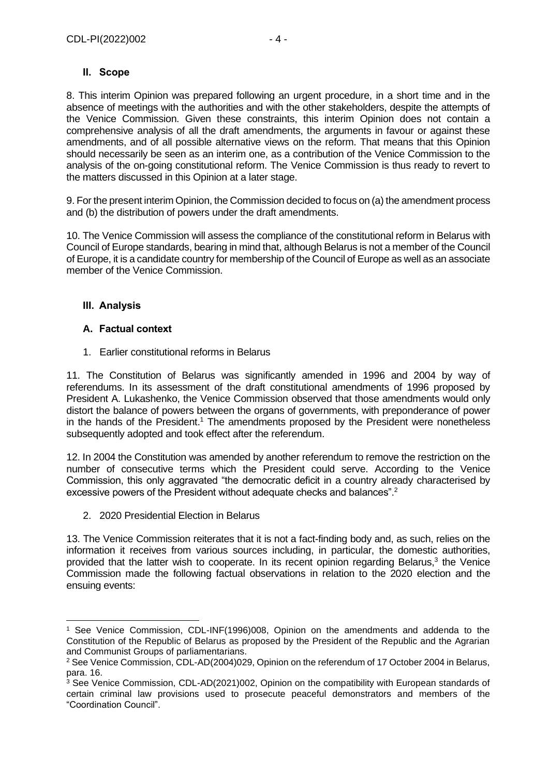#### <span id="page-3-0"></span>**II. Scope**

8. This interim Opinion was prepared following an urgent procedure, in a short time and in the absence of meetings with the authorities and with the other stakeholders, despite the attempts of the Venice Commission. Given these constraints, this interim Opinion does not contain a comprehensive analysis of all the draft amendments, the arguments in favour or against these amendments, and of all possible alternative views on the reform. That means that this Opinion should necessarily be seen as an interim one, as a contribution of the Venice Commission to the analysis of the on-going constitutional reform. The Venice Commission is thus ready to revert to the matters discussed in this Opinion at a later stage.

9. For the present interim Opinion, the Commission decided to focus on (a) the amendment process and (b) the distribution of powers under the draft amendments.

10. The Venice Commission will assess the compliance of the constitutional reform in Belarus with Council of Europe standards, bearing in mind that, although Belarus is not a member of the Council of Europe, it is a candidate country for membership of the Council of Europe as well as an associate member of the Venice Commission.

### <span id="page-3-1"></span>**III. Analysis**

### <span id="page-3-2"></span>**A. Factual context**

<span id="page-3-3"></span>1. Earlier constitutional reforms in Belarus

11. The Constitution of Belarus was significantly amended in 1996 and 2004 by way of referendums. In its assessment of the draft constitutional amendments of 1996 proposed by President A. Lukashenko, the Venice Commission observed that those amendments would only distort the balance of powers between the organs of governments, with preponderance of power in the hands of the President. <sup>1</sup> The amendments proposed by the President were nonetheless subsequently adopted and took effect after the referendum.

12. In 2004 the Constitution was amended by another referendum to remove the restriction on the number of consecutive terms which the President could serve. According to the Venice Commission, this only aggravated "the democratic deficit in a country already characterised by excessive powers of the President without adequate checks and balances".<sup>2</sup>

<span id="page-3-4"></span>2. 2020 Presidential Election in Belarus

13. The Venice Commission reiterates that it is not a fact-finding body and, as such, relies on the information it receives from various sources including, in particular, the domestic authorities, provided that the latter wish to cooperate. In its recent opinion regarding Belarus, $3$  the Venice Commission made the following factual observations in relation to the 2020 election and the ensuing events:

<sup>1</sup> See Venice Commission, CDL-INF(1996)008, Opinion on the amendments and addenda to the Constitution of the Republic of Belarus as proposed by the President of the Republic and the Agrarian and Communist Groups of parliamentarians.

<sup>&</sup>lt;sup>2</sup> See Venice Commission, CDL-AD(2004)029, Opinion on the referendum of 17 October 2004 in Belarus, para. 16.

<sup>&</sup>lt;sup>3</sup> See Venice Commission, CDL-AD(2021)002, Opinion on the compatibility with European standards of certain criminal law provisions used to prosecute peaceful demonstrators and members of the "Coordination Council".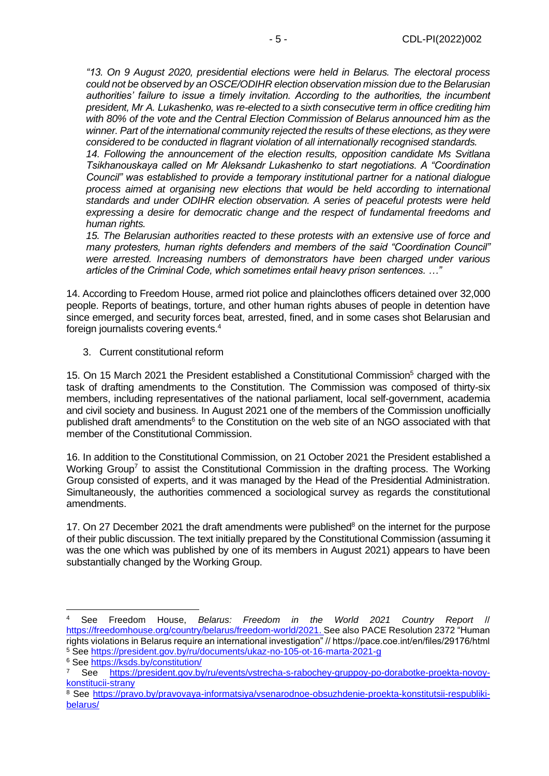*"13. On 9 August 2020, presidential elections were held in Belarus. The electoral process could not be observed by an OSCE/ODIHR election observation mission due to the Belarusian authorities' failure to issue a timely invitation. According to the authorities, the incumbent president, Mr A. Lukashenko, was re-elected to a sixth consecutive term in office crediting him with 80% of the vote and the Central Election Commission of Belarus announced him as the winner. Part of the international community rejected the results of these elections, as they were considered to be conducted in flagrant violation of all internationally recognised standards.*

*14. Following the announcement of the election results, opposition candidate Ms Svitlana Tsikhanouskaya called on Mr Aleksandr Lukashenko to start negotiations. A "Coordination Council" was established to provide a temporary institutional partner for a national dialogue process aimed at organising new elections that would be held according to international standards and under ODIHR election observation. A series of peaceful protests were held expressing a desire for democratic change and the respect of fundamental freedoms and human rights.*

*15. The Belarusian authorities reacted to these protests with an extensive use of force and many protesters, human rights defenders and members of the said "Coordination Council" were arrested. Increasing numbers of demonstrators have been charged under various articles of the Criminal Code, which sometimes entail heavy prison sentences. …"*

14. According to Freedom House, armed riot police and plainclothes officers detained over 32,000 people. Reports of beatings, torture, and other human rights abuses of people in detention have since emerged, and security forces beat, arrested, fined, and in some cases shot Belarusian and foreign journalists covering events. 4

<span id="page-4-0"></span>3. Current constitutional reform

15. On 15 March 2021 the President established a Constitutional Commission<sup>5</sup> charged with the task of drafting amendments to the Constitution. The Commission was composed of thirty-six members, including representatives of the national parliament, local self-government, academia and civil society and business. In August 2021 one of the members of the Commission unofficially published draft amendments<sup>6</sup> to the Constitution on the web site of an NGO associated with that member of the Constitutional Commission.

16. In addition to the Constitutional Commission, on 21 October 2021 the President established a Working Group<sup>7</sup> to assist the Constitutional Commission in the drafting process. The Working Group consisted of experts, and it was managed by the Head of the Presidential Administration. Simultaneously, the authorities commenced a sociological survey as regards the constitutional amendments.

17. On 27 December 2021 the draft amendments were published<sup>8</sup> on the internet for the purpose of their public discussion. The text initially prepared by the Constitutional Commission (assuming it was the one which was published by one of its members in August 2021) appears to have been substantially changed by the Working Group.

<sup>4</sup> See Freedom House, *Belarus: Freedom in the World 2021 Country Report* // [https://freedomhouse.org/country/belarus/freedom-world/2021.](https://freedomhouse.org/country/belarus/freedom-world/2021) See also PACE [Resolution 2372](https://pace.coe.int/en/files/29176/html) "Human rights violations in Belarus require an international investigation" // https://pace.coe.int/en/files/29176/html <sup>5</sup> See<https://president.gov.by/ru/documents/ukaz-no-105-ot-16-marta-2021-g>

<sup>6</sup> See<https://ksds.by/constitution/>

<sup>7</sup> See [https://president.gov.by/ru/events/vstrecha-s-rabochey-gruppoy-po-dorabotke-proekta-novoy](https://president.gov.by/ru/events/vstrecha-s-rabochey-gruppoy-po-dorabotke-proekta-novoy-konstitucii-strany)[konstitucii-strany](https://president.gov.by/ru/events/vstrecha-s-rabochey-gruppoy-po-dorabotke-proekta-novoy-konstitucii-strany)

<sup>&</sup>lt;sup>8</sup> See [https://pravo.by/pravovaya-informatsiya/vsenarodnoe-obsuzhdenie-proekta-konstitutsii-respubliki](https://pravo.by/pravovaya-informatsiya/vsenarodnoe-obsuzhdenie-proekta-konstitutsii-respubliki-belarus/)[belarus/](https://pravo.by/pravovaya-informatsiya/vsenarodnoe-obsuzhdenie-proekta-konstitutsii-respubliki-belarus/)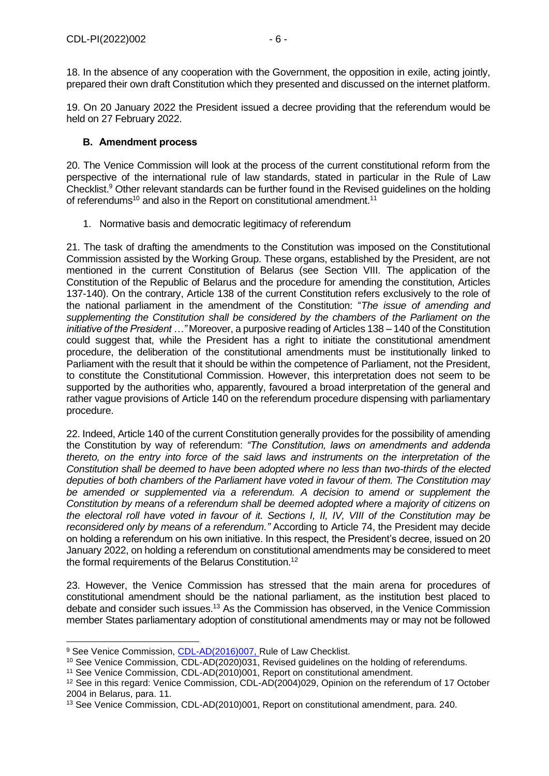18. In the absence of any cooperation with the Government, the opposition in exile, acting jointly, prepared their own draft Constitution which they presented and discussed on the internet platform.

19. On 20 January 2022 the President issued a decree providing that the referendum would be held on 27 February 2022.

#### <span id="page-5-0"></span>**B. Amendment process**

20. The Venice Commission will look at the process of the current constitutional reform from the perspective of the international rule of law standards, stated in particular in the Rule of Law Checklist.<sup>9</sup> Other relevant standards can be further found in the Revised guidelines on the holding of referendums<sup>10</sup> and also in the Report on constitutional amendment.<sup>11</sup>

<span id="page-5-1"></span>1. Normative basis and democratic legitimacy of referendum

21. The task of drafting the amendments to the Constitution was imposed on the Constitutional Commission assisted by the Working Group. These organs, established by the President, are not mentioned in the current Constitution of Belarus (see Section VIII. The application of the Constitution of the Republic of Belarus and the procedure for amending the constitution, Articles 137-140). On the contrary, Article 138 of the current Constitution refers exclusively to the role of the national parliament in the amendment of the Constitution: "*The issue of amending and supplementing the Constitution shall be considered by the chambers of the Parliament on the initiative of the President …"* Moreover, a purposive reading of Articles 138 – 140 of the Constitution could suggest that, while the President has a right to initiate the constitutional amendment procedure, the deliberation of the constitutional amendments must be institutionally linked to Parliament with the result that it should be within the competence of Parliament, not the President, to constitute the Constitutional Commission. However, this interpretation does not seem to be supported by the authorities who, apparently, favoured a broad interpretation of the general and rather vague provisions of Article 140 on the referendum procedure dispensing with parliamentary procedure.

22. Indeed, Article 140 of the current Constitution generally provides for the possibility of amending the Constitution by way of referendum: *"The Constitution, laws on amendments and addenda thereto, on the entry into force of the said laws and instruments on the interpretation of the Constitution shall be deemed to have been adopted where no less than two-thirds of the elected deputies of both chambers of the Parliament have voted in favour of them. The Constitution may*  be amended or supplemented via a referendum. A decision to amend or supplement the *Constitution by means of a referendum shall be deemed adopted where a majority of citizens on the electoral roll have voted in favour of it. Sections I, II, IV, VIII of the Constitution may be reconsidered only by means of a referendum."* According to Article 74, the President may decide on holding a referendum on his own initiative. In this respect, the President's decree, issued on 20 January 2022, on holding a referendum on constitutional amendments may be considered to meet the formal requirements of the Belarus Constitution.<sup>12</sup>

23. However, the Venice Commission has stressed that the main arena for procedures of constitutional amendment should be the national parliament, as the institution best placed to debate and consider such issues. <sup>13</sup> As the Commission has observed, in the Venice Commission member States parliamentary adoption of constitutional amendments may or may not be followed

<sup>&</sup>lt;sup>9</sup> See Venice Commission, [CDL-AD\(2016\)007,](https://www.venice.coe.int/webforms/documents/?pdf=CDL-AD(2016)007-e) Rule of Law Checklist.

<sup>10</sup> See Venice Commission, CDL-AD(2020)031, Revised guidelines on the holding of referendums.

<sup>11</sup> See Venice Commission, CDL-AD(2010)001, Report on constitutional amendment.

<sup>12</sup> See in this regard: Venice Commission, CDL-AD(2004)029, Opinion on the referendum of 17 October 2004 in Belarus, para. 11.

<sup>13</sup> See Venice Commission, CDL-AD(2010)001, Report on constitutional amendment, para. 240.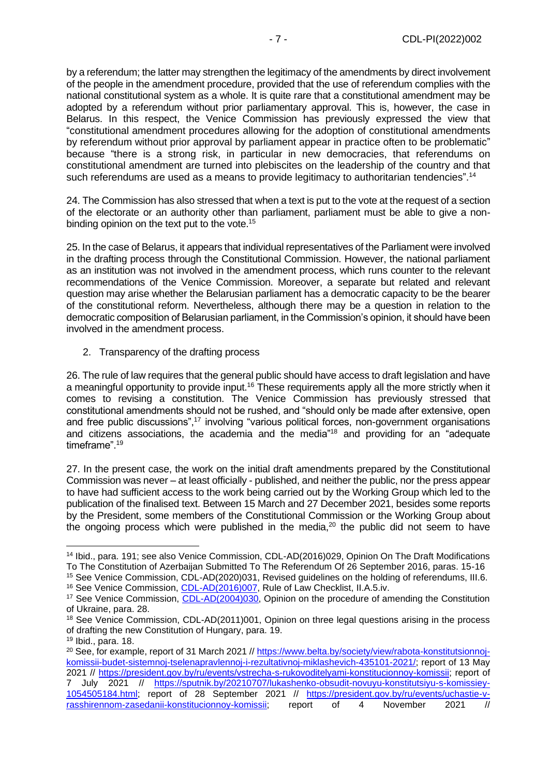by a referendum; the latter may strengthen the legitimacy of the amendments by direct involvement of the people in the amendment procedure, provided that the use of referendum complies with the national constitutional system as a whole. It is quite rare that a constitutional amendment may be adopted by a referendum without prior parliamentary approval. This is, however, the case in Belarus. In this respect, the Venice Commission has previously expressed the view that "constitutional amendment procedures allowing for the adoption of constitutional amendments by referendum without prior approval by parliament appear in practice often to be problematic" because "there is a strong risk, in particular in new democracies, that referendums on constitutional amendment are turned into plebiscites on the leadership of the country and that such referendums are used as a means to provide legitimacy to authoritarian tendencies".<sup>14</sup>

24. The Commission has also stressed that when a text is put to the vote at the request of a section of the electorate or an authority other than parliament, parliament must be able to give a nonbinding opinion on the text put to the vote.<sup>15</sup>

25. In the case of Belarus, it appears that individual representatives of the Parliament were involved in the drafting process through the Constitutional Commission. However, the national parliament as an institution was not involved in the amendment process, which runs counter to the relevant recommendations of the Venice Commission. Moreover, a separate but related and relevant question may arise whether the Belarusian parliament has a democratic capacity to be the bearer of the constitutional reform. Nevertheless, although there may be a question in relation to the democratic composition of Belarusian parliament, in the Commission's opinion, it should have been involved in the amendment process.

<span id="page-6-0"></span>2. Transparency of the drafting process

26. The rule of law requires that the general public should have access to draft legislation and have a meaningful opportunity to provide input.<sup>16</sup> These requirements apply all the more strictly when it comes to revising a constitution. The Venice Commission has previously stressed that constitutional amendments should not be rushed, and "should only be made after extensive, open and free public discussions",<sup>17</sup> involving "various political forces, non-government organisations and citizens associations, the academia and the media<sup>"18</sup> and providing for an "adequate timeframe".<sup>19</sup>

27. In the present case, the work on the initial draft amendments prepared by the Constitutional Commission was never – at least officially - published, and neither the public, nor the press appear to have had sufficient access to the work being carried out by the Working Group which led to the publication of the finalised text. Between 15 March and 27 December 2021, besides some reports by the President, some members of the Constitutional Commission or the Working Group about the ongoing process which were published in the media,<sup>20</sup> the public did not seem to have

<sup>14</sup> Ibid., para. 191; see also Venice Commission, CDL-AD(2016)029, Opinion On The Draft Modifications To The Constitution of Azerbaijan Submitted To The Referendum Of 26 September 2016, paras. 15-16 <sup>15</sup> See Venice Commission, CDL-AD(2020)031, Revised guidelines on the holding of referendums, III.6.

<sup>&</sup>lt;sup>16</sup> See Venice Commission, [CDL-AD\(2016\)007,](https://www.venice.coe.int/webforms/documents/?pdf=CDL-AD(2016)007-e) Rule of Law Checklist, II.A.5.iv.

<sup>&</sup>lt;sup>17</sup> See Venice Commission, [CDL-AD\(2004\)030,](https://www.venice.coe.int/webforms/documents/?pdf=CDL-AD(2004)030-e) Opinion on the procedure of amending the Constitution of Ukraine, para. 28.

<sup>&</sup>lt;sup>18</sup> See Venice Commission, CDL-AD(2011)001, Opinion on three legal questions arising in the process of drafting the new Constitution of Hungary, para. 19.

<sup>19</sup> Ibid., para. 18.

<sup>20</sup> See, for example, report of 31 March 2021 /[/ https://www.belta.by/society/view/rabota-konstitutsionnoj](https://www.belta.by/society/view/rabota-konstitutsionnoj-komissii-budet-sistemnoj-tselenapravlennoj-i-rezultativnoj-miklashevich-435101-2021/)[komissii-budet-sistemnoj-tselenapravlennoj-i-rezultativnoj-miklashevich-435101-2021/;](https://www.belta.by/society/view/rabota-konstitutsionnoj-komissii-budet-sistemnoj-tselenapravlennoj-i-rezultativnoj-miklashevich-435101-2021/) report of 13 May 2021 // [https://president.gov.by/ru/events/vstrecha-s-rukovoditelyami-konstitucionnoy-komissii;](https://president.gov.by/ru/events/vstrecha-s-rukovoditelyami-konstitucionnoy-komissii) report of 7 July 2021 // [https://sputnik.by/20210707/lukashenko-obsudit-novuyu-konstitutsiyu-s-komissiey-](https://sputnik.by/20210707/lukashenko-obsudit-novuyu-konstitutsiyu-s-komissiey-1054505184.html)[1054505184.html;](https://sputnik.by/20210707/lukashenko-obsudit-novuyu-konstitutsiyu-s-komissiey-1054505184.html) report of 28 September 2021 // [https://president.gov.by/ru/events/uchastie-v-](https://president.gov.by/ru/events/uchastie-v-rasshirennom-zasedanii-konstitucionnoy-komissii)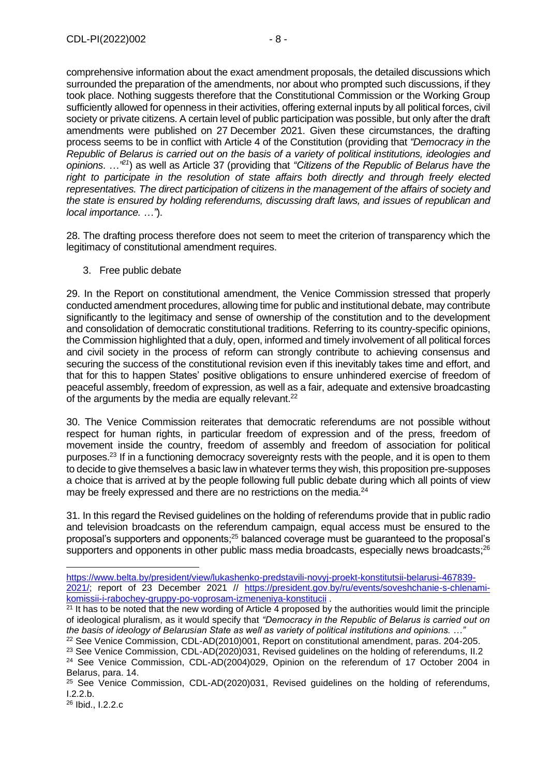comprehensive information about the exact amendment proposals, the detailed discussions which surrounded the preparation of the amendments, nor about who prompted such discussions, if they took place. Nothing suggests therefore that the Constitutional Commission or the Working Group sufficiently allowed for openness in their activities, offering external inputs by all political forces, civil society or private citizens. A certain level of public participation was possible, but only after the draft amendments were published on 27 December 2021. Given these circumstances, the drafting process seems to be in conflict with Article 4 of the Constitution (providing that *"Democracy in the Republic of Belarus is carried out on the basis of a variety of political institutions, ideologies and opinions. …" <sup>21</sup>*) as well as Article 37 (providing that *"Citizens of the Republic of Belarus have the*  right to participate in the resolution of state affairs both directly and through freely elected *representatives. The direct participation of citizens in the management of the affairs of society and the state is ensured by holding referendums, discussing draft laws, and issues of republican and local importance. …"*).

28. The drafting process therefore does not seem to meet the criterion of transparency which the legitimacy of constitutional amendment requires.

<span id="page-7-0"></span>3. Free public debate

29. In the Report on constitutional amendment, the Venice Commission stressed that properly conducted amendment procedures, allowing time for public and institutional debate, may contribute significantly to the legitimacy and sense of ownership of the constitution and to the development and consolidation of democratic constitutional traditions. Referring to its country-specific opinions, the Commission highlighted that a duly, open, informed and timely involvement of all political forces and civil society in the process of reform can strongly contribute to achieving consensus and securing the success of the constitutional revision even if this inevitably takes time and effort, and that for this to happen States' positive obligations to ensure unhindered exercise of freedom of peaceful assembly, freedom of expression, as well as a fair, adequate and extensive broadcasting of the arguments by the media are equally relevant.<sup>22</sup>

30. The Venice Commission reiterates that democratic referendums are not possible without respect for human rights, in particular freedom of expression and of the press, freedom of movement inside the country, freedom of assembly and freedom of association for political purposes.<sup>23</sup> If in a functioning democracy sovereignty rests with the people, and it is open to them to decide to give themselves a basic law in whatever terms they wish, this proposition pre-supposes a choice that is arrived at by the people following full public debate during which all points of view may be freely expressed and there are no restrictions on the media.<sup>24</sup>

31. In this regard the Revised guidelines on the holding of referendums provide that in public radio and television broadcasts on the referendum campaign, equal access must be ensured to the proposal's supporters and opponents;<sup>25</sup> balanced coverage must be guaranteed to the proposal's supporters and opponents in other public mass media broadcasts, especially news broadcasts;<sup>26</sup>

[https://www.belta.by/president/view/lukashenko-predstavili-novyj-proekt-konstitutsii-belarusi-467839-](https://www.belta.by/president/view/lukashenko-predstavili-novyj-proekt-konstitutsii-belarusi-467839-2021/) [2021/;](https://www.belta.by/president/view/lukashenko-predstavili-novyj-proekt-konstitutsii-belarusi-467839-2021/) report of 23 December 2021 // [https://president.gov.by/ru/events/soveshchanie-s-chlenami](https://president.gov.by/ru/events/soveshchanie-s-chlenami-komissii-i-rabochey-gruppy-po-voprosam-izmeneniya-konstitucii)[komissii-i-rabochey-gruppy-po-voprosam-izmeneniya-konstitucii](https://president.gov.by/ru/events/soveshchanie-s-chlenami-komissii-i-rabochey-gruppy-po-voprosam-izmeneniya-konstitucii) .

<sup>&</sup>lt;sup>21</sup> It has to be noted that the new wording of Article 4 proposed by the authorities would limit the principle of ideological pluralism, as it would specify that *"Democracy in the Republic of Belarus is carried out on the basis of ideology of Belarusian State as well as variety of political institutions and opinions. …"*

<sup>&</sup>lt;sup>22</sup> See Venice Commission, CDL-AD(2010)001, Report on constitutional amendment, paras. 204-205. <sup>23</sup> See Venice Commission, CDL-AD(2020)031, Revised guidelines on the holding of referendums, II.2

<sup>&</sup>lt;sup>24</sup> See Venice Commission, CDL-AD(2004)029, Opinion on the referendum of 17 October 2004 in Belarus, para. 14.

<sup>&</sup>lt;sup>25</sup> See Venice Commission, CDL-AD(2020)031, Revised guidelines on the holding of referendums, I.2.2.b.

<sup>26</sup> Ibid., I.2.2.c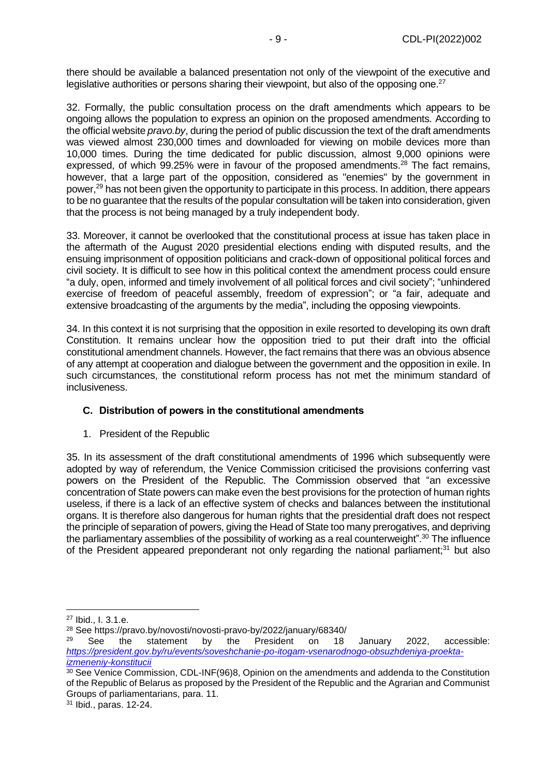there should be available a balanced presentation not only of the viewpoint of the executive and legislative authorities or persons sharing their viewpoint, but also of the opposing one.<sup>27</sup>

32. Formally, the public consultation process on the draft amendments which appears to be ongoing allows the population to express an opinion on the proposed amendments. According to the official website *pravo.by*, during the period of public discussion the text of the draft amendments was viewed almost 230,000 times and downloaded for viewing on mobile devices more than 10,000 times. During the time dedicated for public discussion, almost 9,000 opinions were expressed, of which 99.25% were in favour of the proposed amendments.<sup>28</sup> The fact remains, however, that a large part of the opposition, considered as "enemies" by the government in power,<sup>29</sup> has not been given the opportunity to participate in this process. In addition, there appears to be no guarantee that the results of the popular consultation will be taken into consideration, given that the process is not being managed by a truly independent body.

33. Moreover, it cannot be overlooked that the constitutional process at issue has taken place in the aftermath of the August 2020 presidential elections ending with disputed results, and the ensuing imprisonment of opposition politicians and crack-down of oppositional political forces and civil society. It is difficult to see how in this political context the amendment process could ensure "a duly, open, informed and timely involvement of all political forces and civil society"; "unhindered exercise of freedom of peaceful assembly, freedom of expression"; or "a fair, adequate and extensive broadcasting of the arguments by the media", including the opposing viewpoints.

34. In this context it is not surprising that the opposition in exile resorted to developing its own draft Constitution. It remains unclear how the opposition tried to put their draft into the official constitutional amendment channels. However, the fact remains that there was an obvious absence of any attempt at cooperation and dialogue between the government and the opposition in exile. In such circumstances, the constitutional reform process has not met the minimum standard of inclusiveness.

#### <span id="page-8-0"></span>**C. Distribution of powers in the constitutional amendments**

<span id="page-8-1"></span>1. President of the Republic

35. In its assessment of the draft constitutional amendments of 1996 which subsequently were adopted by way of referendum, the Venice Commission criticised the provisions conferring vast powers on the President of the Republic. The Commission observed that "an excessive concentration of State powers can make even the best provisions for the protection of human rights useless, if there is a lack of an effective system of checks and balances between the institutional organs. It is therefore also dangerous for human rights that the presidential draft does not respect the principle of separation of powers, giving the Head of State too many prerogatives, and depriving the parliamentary assemblies of the possibility of working as a real counterweight".<sup>30</sup> The influence of the President appeared preponderant not only regarding the national parliament;<sup>31</sup> but also

<sup>27</sup> Ibid., I. 3.1.e.

<sup>&</sup>lt;sup>28</sup> See https://pravo.by/novosti/novosti-pravo-by/2022/january/68340/<br><sup>29</sup> See the statement by the President on 18

<sup>&</sup>lt;sup>29</sup> See the statement by the President on 18 January 2022, accessible: *[https://president.gov.by/ru/events/soveshchanie-po-itogam-vsenarodnogo-obsuzhdeniya-proekta](https://president.gov.by/ru/events/soveshchanie-po-itogam-vsenarodnogo-obsuzhdeniya-proekta-izmeneniy-konstitucii)[izmeneniy-konstitucii](https://president.gov.by/ru/events/soveshchanie-po-itogam-vsenarodnogo-obsuzhdeniya-proekta-izmeneniy-konstitucii)*

 $30$  See Venice Commission, CDL-INF(96)8. Opinion on the amendments and addenda to the Constitution of the Republic of Belarus as proposed by the President of the Republic and the Agrarian and Communist Groups of parliamentarians, para. 11.

<sup>31</sup> Ibid., paras. 12-24.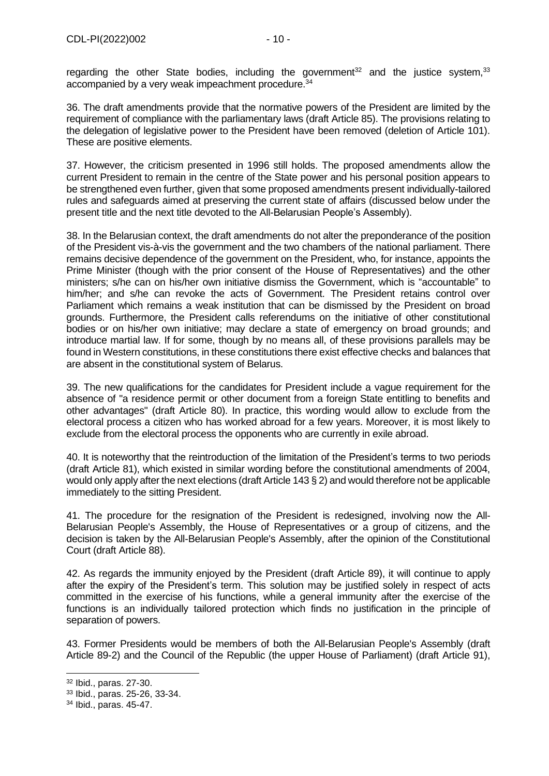regarding the other State bodies, including the government<sup>32</sup> and the justice system,<sup>33</sup> accompanied by a very weak impeachment procedure.<sup>34</sup>

36. The draft amendments provide that the normative powers of the President are limited by the requirement of compliance with the parliamentary laws (draft Article 85). The provisions relating to the delegation of legislative power to the President have been removed (deletion of Article 101). These are positive elements.

37. However, the criticism presented in 1996 still holds. The proposed amendments allow the current President to remain in the centre of the State power and his personal position appears to be strengthened even further, given that some proposed amendments present individually-tailored rules and safeguards aimed at preserving the current state of affairs (discussed below under the present title and the next title devoted to the All-Belarusian People's Assembly).

38. In the Belarusian context, the draft amendments do not alter the preponderance of the position of the President vis-à-vis the government and the two chambers of the national parliament. There remains decisive dependence of the government on the President, who, for instance, appoints the Prime Minister (though with the prior consent of the House of Representatives) and the other ministers; s/he can on his/her own initiative dismiss the Government, which is "accountable" to him/her; and s/he can revoke the acts of Government. The President retains control over Parliament which remains a weak institution that can be dismissed by the President on broad grounds. Furthermore, the President calls referendums on the initiative of other constitutional bodies or on his/her own initiative; may declare a state of emergency on broad grounds; and introduce martial law. If for some, though by no means all, of these provisions parallels may be found in Western constitutions, in these constitutions there exist effective checks and balances that are absent in the constitutional system of Belarus.

39. The new qualifications for the candidates for President include a vague requirement for the absence of "a residence permit or other document from a foreign State entitling to benefits and other advantages" (draft Article 80). In practice, this wording would allow to exclude from the electoral process a citizen who has worked abroad for a few years. Moreover, it is most likely to exclude from the electoral process the opponents who are currently in exile abroad.

40. It is noteworthy that the reintroduction of the limitation of the President's terms to two periods (draft Article 81), which existed in similar wording before the constitutional amendments of 2004, would only apply after the next elections (draft Article 143 § 2) and would therefore not be applicable immediately to the sitting President.

41. The procedure for the resignation of the President is redesigned, involving now the All-Belarusian People's Assembly, the House of Representatives or a group of citizens, and the decision is taken by the All-Belarusian People's Assembly, after the opinion of the Constitutional Court (draft Article 88).

42. As regards the immunity enjoyed by the President (draft Article 89), it will continue to apply after the expiry of the President's term. This solution may be justified solely in respect of acts committed in the exercise of his functions, while a general immunity after the exercise of the functions is an individually tailored protection which finds no justification in the principle of separation of powers.

43. Former Presidents would be members of both the All-Belarusian People's Assembly (draft Article 89-2) and the Council of the Republic (the upper House of Parliament) (draft Article 91),

<sup>32</sup> Ibid., paras. 27-30.

<sup>33</sup> Ibid., paras. 25-26, 33-34.

<sup>34</sup> Ibid., paras. 45-47.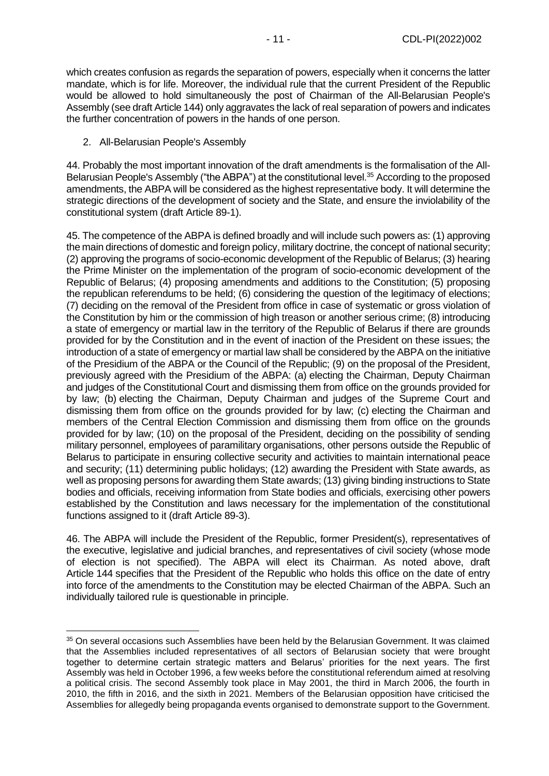which creates confusion as regards the separation of powers, especially when it concerns the latter mandate, which is for life. Moreover, the individual rule that the current President of the Republic would be allowed to hold simultaneously the post of Chairman of the All-Belarusian People's Assembly (see draft Article 144) only aggravates the lack of real separation of powers and indicates the further concentration of powers in the hands of one person.

<span id="page-10-0"></span>2. All-Belarusian People's Assembly

44. Probably the most important innovation of the draft amendments is the formalisation of the All-Belarusian People's Assembly ("the ABPA") at the constitutional level.<sup>35</sup> According to the proposed amendments, the ABPA will be considered as the highest representative body. It will determine the strategic directions of the development of society and the State, and ensure the inviolability of the constitutional system (draft Article 89-1).

45. The competence of the ABPA is defined broadly and will include such powers as: (1) approving the main directions of domestic and foreign policy, military doctrine, the concept of national security; (2) approving the programs of socio-economic development of the Republic of Belarus; (3) hearing the Prime Minister on the implementation of the program of socio-economic development of the Republic of Belarus; (4) proposing amendments and additions to the Constitution; (5) proposing the republican referendums to be held; (6) considering the question of the legitimacy of elections; (7) deciding on the removal of the President from office in case of systematic or gross violation of the Constitution by him or the commission of high treason or another serious crime; (8) introducing a state of emergency or martial law in the territory of the Republic of Belarus if there are grounds provided for by the Constitution and in the event of inaction of the President on these issues; the introduction of a state of emergency or martial law shall be considered by the ABPA on the initiative of the Presidium of the ABPA or the Council of the Republic; (9) on the proposal of the President, previously agreed with the Presidium of the ABPA: (a) electing the Chairman, Deputy Chairman and judges of the Constitutional Court and dismissing them from office on the grounds provided for by law; (b) electing the Chairman, Deputy Chairman and judges of the Supreme Court and dismissing them from office on the grounds provided for by law; (c) electing the Chairman and members of the Central Election Commission and dismissing them from office on the grounds provided for by law; (10) on the proposal of the President, deciding on the possibility of sending military personnel, employees of paramilitary organisations, other persons outside the Republic of Belarus to participate in ensuring collective security and activities to maintain international peace and security; (11) determining public holidays; (12) awarding the President with State awards, as well as proposing persons for awarding them State awards; (13) giving binding instructions to State bodies and officials, receiving information from State bodies and officials, exercising other powers established by the Constitution and laws necessary for the implementation of the constitutional functions assigned to it (draft Article 89-3).

46. The ABPA will include the President of the Republic, former President(s), representatives of the executive, legislative and judicial branches, and representatives of civil society (whose mode of election is not specified). The ABPA will elect its Chairman. As noted above, draft Article 144 specifies that the President of the Republic who holds this office on the date of entry into force of the amendments to the Constitution may be elected Chairman of the ABPA. Such an individually tailored rule is questionable in principle.

<sup>&</sup>lt;sup>35</sup> On several occasions such Assemblies have been held by the Belarusian Government. It was claimed that the Assemblies included representatives of all sectors of Belarusian society that were brought together to determine certain strategic matters and Belarus' priorities for the next years. The first Assembly was held in October 1996, a few weeks before the constitutional referendum aimed at resolving a political crisis. The second Assembly took place in May 2001, the third in March 2006, the fourth in 2010, the fifth in 2016, and the sixth in 2021. Members of the Belarusian opposition have criticised the Assemblies for allegedly being propaganda events organised to demonstrate support to the Government.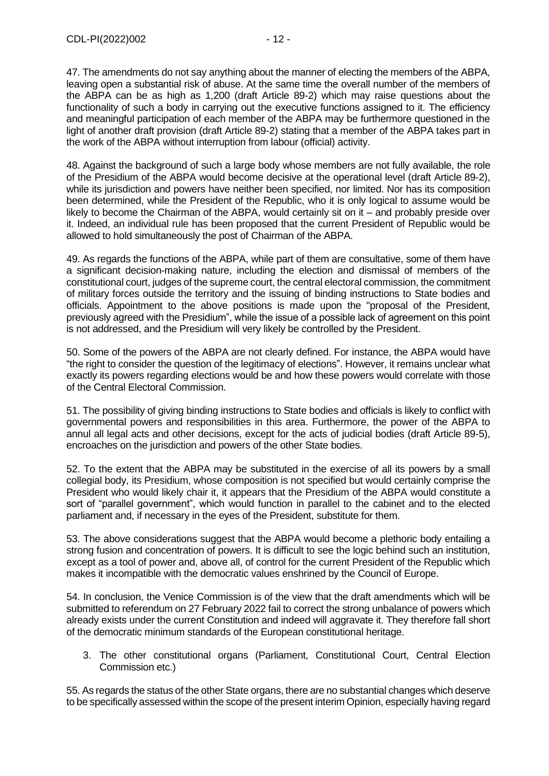47. The amendments do not say anything about the manner of electing the members of the ABPA, leaving open a substantial risk of abuse. At the same time the overall number of the members of the ABPA can be as high as 1,200 (draft Article 89-2) which may raise questions about the functionality of such a body in carrying out the executive functions assigned to it. The efficiency and meaningful participation of each member of the ABPA may be furthermore questioned in the light of another draft provision (draft Article 89-2) stating that a member of the ABPA takes part in the work of the ABPA without interruption from labour (official) activity.

48. Against the background of such a large body whose members are not fully available, the role of the Presidium of the ABPA would become decisive at the operational level (draft Article 89-2), while its jurisdiction and powers have neither been specified, nor limited. Nor has its composition been determined, while the President of the Republic, who it is only logical to assume would be likely to become the Chairman of the ABPA, would certainly sit on it – and probably preside over it. Indeed, an individual rule has been proposed that the current President of Republic would be allowed to hold simultaneously the post of Chairman of the ABPA.

49. As regards the functions of the ABPA, while part of them are consultative, some of them have a significant decision-making nature, including the election and dismissal of members of the constitutional court, judges of the supreme court, the central electoral commission, the commitment of military forces outside the territory and the issuing of binding instructions to State bodies and officials. Appointment to the above positions is made upon the "proposal of the President, previously agreed with the Presidium", while the issue of a possible lack of agreement on this point is not addressed, and the Presidium will very likely be controlled by the President.

50. Some of the powers of the ABPA are not clearly defined. For instance, the ABPA would have "the right to consider the question of the legitimacy of elections". However, it remains unclear what exactly its powers regarding elections would be and how these powers would correlate with those of the Central Electoral Commission.

51. The possibility of giving binding instructions to State bodies and officials is likely to conflict with governmental powers and responsibilities in this area. Furthermore, the power of the ABPA to annul all legal acts and other decisions, except for the acts of judicial bodies (draft Article 89-5), encroaches on the jurisdiction and powers of the other State bodies.

52. To the extent that the ABPA may be substituted in the exercise of all its powers by a small collegial body, its Presidium, whose composition is not specified but would certainly comprise the President who would likely chair it, it appears that the Presidium of the ABPA would constitute a sort of "parallel government", which would function in parallel to the cabinet and to the elected parliament and, if necessary in the eyes of the President, substitute for them.

53. The above considerations suggest that the ABPA would become a plethoric body entailing a strong fusion and concentration of powers. It is difficult to see the logic behind such an institution, except as a tool of power and, above all, of control for the current President of the Republic which makes it incompatible with the democratic values enshrined by the Council of Europe.

54. In conclusion, the Venice Commission is of the view that the draft amendments which will be submitted to referendum on 27 February 2022 fail to correct the strong unbalance of powers which already exists under the current Constitution and indeed will aggravate it. They therefore fall short of the democratic minimum standards of the European constitutional heritage.

<span id="page-11-0"></span>3. The other constitutional organs (Parliament, Constitutional Court, Central Election Commission etc.)

55. As regards the status of the other State organs, there are no substantial changes which deserve to be specifically assessed within the scope of the present interim Opinion, especially having regard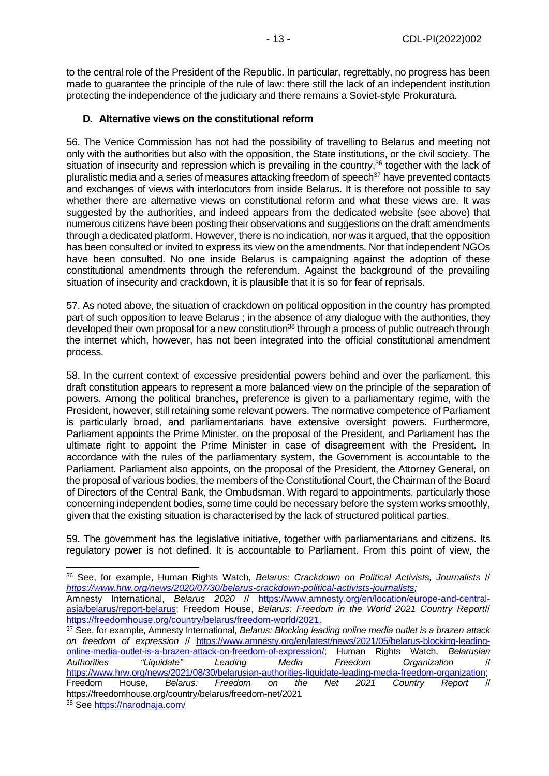to the central role of the President of the Republic. In particular, regrettably, no progress has been made to guarantee the principle of the rule of law: there still the lack of an independent institution protecting the independence of the judiciary and there remains a Soviet-style Prokuratura.

### <span id="page-12-0"></span>**D. Alternative views on the constitutional reform**

56. The Venice Commission has not had the possibility of travelling to Belarus and meeting not only with the authorities but also with the opposition, the State institutions, or the civil society. The situation of insecurity and repression which is prevailing in the country,<sup>36</sup> together with the lack of pluralistic media and a series of measures attacking freedom of speech<sup>37</sup> have prevented contacts and exchanges of views with interlocutors from inside Belarus. It is therefore not possible to say whether there are alternative views on constitutional reform and what these views are. It was suggested by the authorities, and indeed appears from the dedicated website (see above) that numerous citizens have been posting their observations and suggestions on the draft amendments through a dedicated platform. However, there is no indication, nor was it argued, that the opposition has been consulted or invited to express its view on the amendments. Nor that independent NGOs have been consulted. No one inside Belarus is campaigning against the adoption of these constitutional amendments through the referendum. Against the background of the prevailing situation of insecurity and crackdown, it is plausible that it is so for fear of reprisals.

57. As noted above, the situation of crackdown on political opposition in the country has prompted part of such opposition to leave Belarus ; in the absence of any dialogue with the authorities, they developed their own proposal for a new constitution<sup>38</sup> through a process of public outreach through the internet which, however, has not been integrated into the official constitutional amendment process.

58. In the current context of excessive presidential powers behind and over the parliament, this draft constitution appears to represent a more balanced view on the principle of the separation of powers. Among the political branches, preference is given to a parliamentary regime, with the President, however, still retaining some relevant powers. The normative competence of Parliament is particularly broad, and parliamentarians have extensive oversight powers. Furthermore, Parliament appoints the Prime Minister, on the proposal of the President, and Parliament has the ultimate right to appoint the Prime Minister in case of disagreement with the President. In accordance with the rules of the parliamentary system, the Government is accountable to the Parliament. Parliament also appoints, on the proposal of the President, the Attorney General, on the proposal of various bodies, the members of the Constitutional Court, the Chairman of the Board of Directors of the Central Bank, the Ombudsman. With regard to appointments, particularly those concerning independent bodies, some time could be necessary before the system works smoothly, given that the existing situation is characterised by the lack of structured political parties.

59. The government has the legislative initiative, together with parliamentarians and citizens. Its regulatory power is not defined. It is accountable to Parliament. From this point of view, the

<sup>36</sup> See, for example, Human Rights Watch, *Belarus: Crackdown on Political Activists, Journalists* // *[https://www.hrw.org/news/2020/07/30/belarus-crackdown-political-activists-journalists;](https://www.hrw.org/news/2020/07/30/belarus-crackdown-political-activists-journalists)* 

Amnesty International, *Belarus 2020* // [https://www.amnesty.org/en/location/europe-and-central](https://www.amnesty.org/en/location/europe-and-central-asia/belarus/report-belarus)[asia/belarus/report-belarus;](https://www.amnesty.org/en/location/europe-and-central-asia/belarus/report-belarus) Freedom House, *Belarus: Freedom in the World 2021 Country Report*// [https://freedomhouse.org/country/belarus/freedom-world/2021.](https://freedomhouse.org/country/belarus/freedom-world/2021)

<sup>37</sup> See, for example, Amnesty International, *Belarus: Blocking leading online media outlet is a brazen attack on freedom of expression* // [https://www.amnesty.org/en/latest/news/2021/05/belarus-blocking-leading](https://www.amnesty.org/en/latest/news/2021/05/belarus-blocking-leading-online-media-outlet-is-a-brazen-attack-on-freedom-of-expression/)[online-media-outlet-is-a-brazen-attack-on-freedom-of-expression/;](https://www.amnesty.org/en/latest/news/2021/05/belarus-blocking-leading-online-media-outlet-is-a-brazen-attack-on-freedom-of-expression/) Human Rights Watch, *Belarusian Authorities "Liquidate" Leading Media Freedom Organization* // [https://www.hrw.org/news/2021/08/30/belarusian-authorities-liquidate-leading-media-freedom-organization;](https://www.hrw.org/news/2021/08/30/belarusian-authorities-liquidate-leading-media-freedom-organization) Freedom House, *Belarus: Freedom on the Net 2021 Country Report* // https://freedomhouse.org/country/belarus/freedom-net/2021 <sup>38</sup> See<https://narodnaja.com/>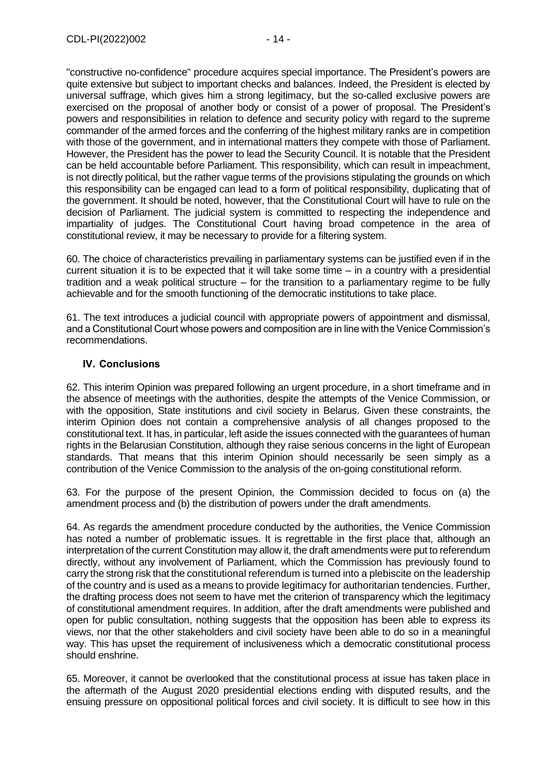"constructive no-confidence" procedure acquires special importance. The President's powers are quite extensive but subject to important checks and balances. Indeed, the President is elected by universal suffrage, which gives him a strong legitimacy, but the so-called exclusive powers are exercised on the proposal of another body or consist of a power of proposal. The President's powers and responsibilities in relation to defence and security policy with regard to the supreme commander of the armed forces and the conferring of the highest military ranks are in competition with those of the government, and in international matters they compete with those of Parliament. However, the President has the power to lead the Security Council. It is notable that the President can be held accountable before Parliament. This responsibility, which can result in impeachment, is not directly political, but the rather vague terms of the provisions stipulating the grounds on which this responsibility can be engaged can lead to a form of political responsibility, duplicating that of the government. It should be noted, however, that the Constitutional Court will have to rule on the decision of Parliament. The judicial system is committed to respecting the independence and impartiality of judges. The Constitutional Court having broad competence in the area of constitutional review, it may be necessary to provide for a filtering system.

60. The choice of characteristics prevailing in parliamentary systems can be justified even if in the current situation it is to be expected that it will take some time – in a country with a presidential tradition and a weak political structure – for the transition to a parliamentary regime to be fully achievable and for the smooth functioning of the democratic institutions to take place.

61. The text introduces a judicial council with appropriate powers of appointment and dismissal, and a Constitutional Court whose powers and composition are in line with the Venice Commission's recommendations.

#### <span id="page-13-0"></span>**IV. Conclusions**

62. This interim Opinion was prepared following an urgent procedure, in a short timeframe and in the absence of meetings with the authorities, despite the attempts of the Venice Commission, or with the opposition, State institutions and civil society in Belarus. Given these constraints, the interim Opinion does not contain a comprehensive analysis of all changes proposed to the constitutional text. It has, in particular, left aside the issues connected with the guarantees of human rights in the Belarusian Constitution, although they raise serious concerns in the light of European standards. That means that this interim Opinion should necessarily be seen simply as a contribution of the Venice Commission to the analysis of the on-going constitutional reform.

63. For the purpose of the present Opinion, the Commission decided to focus on (a) the amendment process and (b) the distribution of powers under the draft amendments.

64. As regards the amendment procedure conducted by the authorities, the Venice Commission has noted a number of problematic issues. It is regrettable in the first place that, although an interpretation of the current Constitution may allow it, the draft amendments were put to referendum directly, without any involvement of Parliament, which the Commission has previously found to carry the strong risk that the constitutional referendum is turned into a plebiscite on the leadership of the country and is used as a means to provide legitimacy for authoritarian tendencies. Further, the drafting process does not seem to have met the criterion of transparency which the legitimacy of constitutional amendment requires. In addition, after the draft amendments were published and open for public consultation, nothing suggests that the opposition has been able to express its views, nor that the other stakeholders and civil society have been able to do so in a meaningful way. This has upset the requirement of inclusiveness which a democratic constitutional process should enshrine.

65. Moreover, it cannot be overlooked that the constitutional process at issue has taken place in the aftermath of the August 2020 presidential elections ending with disputed results, and the ensuing pressure on oppositional political forces and civil society. It is difficult to see how in this